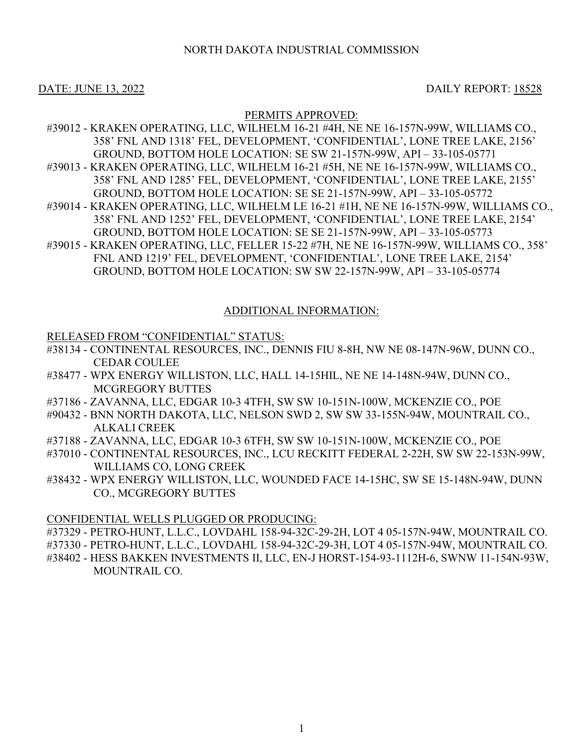# NORTH DAKOTA INDUSTRIAL COMMISSION

# DATE: JUNE 13, 2022 DAILY REPORT: 18528

# PERMITS APPROVED:

- #39012 KRAKEN OPERATING, LLC, WILHELM 16-21 #4H, NE NE 16-157N-99W, WILLIAMS CO., 358' FNL AND 1318' FEL, DEVELOPMENT, 'CONFIDENTIAL', LONE TREE LAKE, 2156' GROUND, BOTTOM HOLE LOCATION: SE SW 21-157N-99W, API – 33-105-05771 #39013 - KRAKEN OPERATING, LLC, WILHELM 16-21 #5H, NE NE 16-157N-99W, WILLIAMS CO., 358' FNL AND 1285' FEL, DEVELOPMENT, 'CONFIDENTIAL', LONE TREE LAKE, 2155'
- GROUND, BOTTOM HOLE LOCATION: SE SE 21-157N-99W, API 33-105-05772 #39014 - KRAKEN OPERATING, LLC, WILHELM LE 16-21 #1H, NE NE 16-157N-99W, WILLIAMS CO., 358' FNL AND 1252' FEL, DEVELOPMENT, 'CONFIDENTIAL', LONE TREE LAKE, 2154' GROUND, BOTTOM HOLE LOCATION: SE SE 21-157N-99W, API – 33-105-05773
- #39015 KRAKEN OPERATING, LLC, FELLER 15-22 #7H, NE NE 16-157N-99W, WILLIAMS CO., 358' FNL AND 1219' FEL, DEVELOPMENT, 'CONFIDENTIAL', LONE TREE LAKE, 2154' GROUND, BOTTOM HOLE LOCATION: SW SW 22-157N-99W, API – 33-105-05774

# ADDITIONAL INFORMATION:

### RELEASED FROM "CONFIDENTIAL" STATUS:

- #38134 CONTINENTAL RESOURCES, INC., DENNIS FIU 8-8H, NW NE 08-147N-96W, DUNN CO., CEDAR COULEE
- #38477 WPX ENERGY WILLISTON, LLC, HALL 14-15HIL, NE NE 14-148N-94W, DUNN CO., MCGREGORY BUTTES
- #37186 ZAVANNA, LLC, EDGAR 10-3 4TFH, SW SW 10-151N-100W, MCKENZIE CO., POE
- #90432 BNN NORTH DAKOTA, LLC, NELSON SWD 2, SW SW 33-155N-94W, MOUNTRAIL CO., ALKALI CREEK
- #37188 ZAVANNA, LLC, EDGAR 10-3 6TFH, SW SW 10-151N-100W, MCKENZIE CO., POE
- #37010 CONTINENTAL RESOURCES, INC., LCU RECKITT FEDERAL 2-22H, SW SW 22-153N-99W, WILLIAMS CO, LONG CREEK
- #38432 WPX ENERGY WILLISTON, LLC, WOUNDED FACE 14-15HC, SW SE 15-148N-94W, DUNN CO., MCGREGORY BUTTES

### CONFIDENTIAL WELLS PLUGGED OR PRODUCING:

#37329 - PETRO-HUNT, L.L.C., LOVDAHL 158-94-32C-29-2H, LOT 4 05-157N-94W, MOUNTRAIL CO. #37330 - PETRO-HUNT, L.L.C., LOVDAHL 158-94-32C-29-3H, LOT 4 05-157N-94W, MOUNTRAIL CO. #38402 - HESS BAKKEN INVESTMENTS II, LLC, EN-J HORST-154-93-1112H-6, SWNW 11-154N-93W, MOUNTRAIL CO.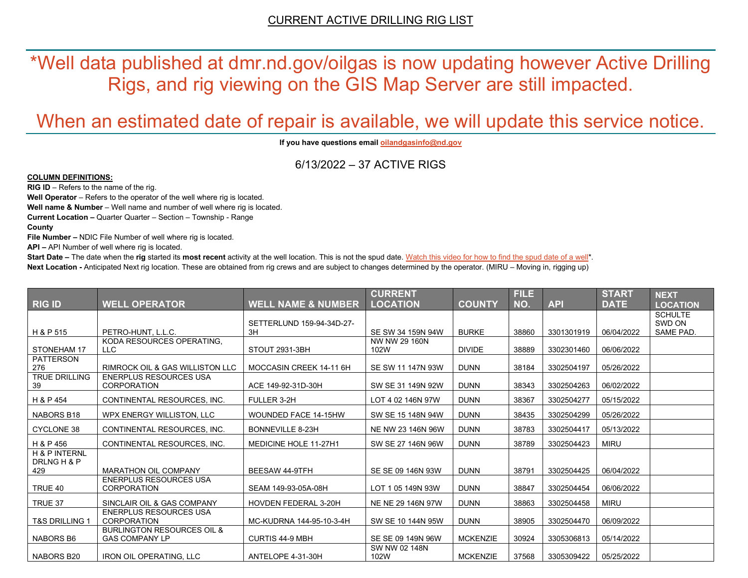\*Well data published at dmr.nd.gov/oilgas is now updating however Active Drilling Rigs, and rig viewing on the GIS Map Server are still impacted.

# When an estimated date of repair is available, we will update this service notice.

**If you have questions emai[l oilandgasinfo@nd.gov](mailto:oilandgasinfo@nd.gov)**

6/13/2022 – 37 ACTIVE RIGS

#### **COLUMN DEFINITIONS:**

**RIG ID** – Refers to the name of the rig.

**Well Operator** – Refers to the operator of the well where rig is located.

**Well name & Number** – Well name and number of well where rig is located.

**Current Location –** Quarter Quarter – Section – Township - Range

**County**

**File Number –** NDIC File Number of well where rig is located.

**API –** API Number of well where rig is located.

**Start Date** – The date when the **rig** started its most recent activity at the well location. This is not the spud date. Watch this video for how [to find the spud date of a well\\*](https://youtu.be/JjWwzuuMVpM). **Next Location -** Anticipated Next rig location. These are obtained from rig crews and are subject to changes determined by the operator. (MIRU – Moving in, rigging up)

|                                         |                                                     |                               | <b>CURRENT</b>        |                 | <b>FILE</b> |            | <b>START</b> | <b>NEXT</b>     |
|-----------------------------------------|-----------------------------------------------------|-------------------------------|-----------------------|-----------------|-------------|------------|--------------|-----------------|
| <b>RIG ID</b>                           | <b>WELL OPERATOR</b>                                | <b>WELL NAME &amp; NUMBER</b> | <b>LOCATION</b>       | <b>COUNTY</b>   | NO.         | <b>API</b> | <b>DATE</b>  | <b>LOCATION</b> |
|                                         |                                                     |                               |                       |                 |             |            |              | <b>SCHULTE</b>  |
|                                         |                                                     | SETTERLUND 159-94-34D-27-     |                       |                 |             |            |              | SWD ON          |
| H & P 515                               | PETRO-HUNT, L.L.C.                                  | 3H                            | SE SW 34 159N 94W     | <b>BURKE</b>    | 38860       | 3301301919 | 06/04/2022   | SAME PAD.       |
| STONEHAM 17                             | KODA RESOURCES OPERATING.<br>LLC                    | STOUT 2931-3BH                | NW NW 29 160N<br>102W | <b>DIVIDE</b>   | 38889       | 3302301460 | 06/06/2022   |                 |
| <b>PATTERSON</b>                        |                                                     |                               |                       |                 |             |            |              |                 |
| 276                                     | RIMROCK OIL & GAS WILLISTON LLC                     | MOCCASIN CREEK 14-11 6H       | SE SW 11 147N 93W     | <b>DUNN</b>     | 38184       | 3302504197 | 05/26/2022   |                 |
| <b>TRUE DRILLING</b><br>39              | ENERPLUS RESOURCES USA<br><b>CORPORATION</b>        | ACE 149-92-31D-30H            | SW SE 31 149N 92W     | <b>DUNN</b>     | 38343       | 3302504263 | 06/02/2022   |                 |
| H & P 454                               | CONTINENTAL RESOURCES. INC.                         | FULLER 3-2H                   | LOT 4 02 146N 97W     | <b>DUNN</b>     | 38367       | 3302504277 | 05/15/2022   |                 |
| NABORS B18                              | WPX ENERGY WILLISTON, LLC                           | <b>WOUNDED FACE 14-15HW</b>   | SW SE 15 148N 94W     | <b>DUNN</b>     | 38435       | 3302504299 | 05/26/2022   |                 |
| <b>CYCLONE 38</b>                       | CONTINENTAL RESOURCES. INC.                         | <b>BONNEVILLE 8-23H</b>       | NE NW 23 146N 96W     | <b>DUNN</b>     | 38783       | 3302504417 | 05/13/2022   |                 |
| H & P 456                               | CONTINENTAL RESOURCES. INC.                         | <b>MEDICINE HOLE 11-27H1</b>  | SW SE 27 146N 96W     | <b>DUNN</b>     | 38789       | 3302504423 | <b>MIRU</b>  |                 |
| <b>H &amp; P INTERNL</b><br>DRLNG H & P |                                                     |                               |                       |                 |             |            |              |                 |
| 429                                     | <b>MARATHON OIL COMPANY</b>                         | <b>BEESAW 44-9TFH</b>         | SE SE 09 146N 93W     | <b>DUNN</b>     | 38791       | 3302504425 | 06/04/2022   |                 |
| TRUE 40                                 | <b>ENERPLUS RESOURCES USA</b><br><b>CORPORATION</b> | SEAM 149-93-05A-08H           | LOT 1 05 149N 93W     | <b>DUNN</b>     | 38847       | 3302504454 | 06/06/2022   |                 |
| TRUE 37                                 | SINCLAIR OIL & GAS COMPANY                          | <b>HOVDEN FEDERAL 3-20H</b>   | NE NE 29 146N 97W     | <b>DUNN</b>     | 38863       | 3302504458 | <b>MIRU</b>  |                 |
| <b>T&amp;S DRILLING 1</b>               | <b>ENERPLUS RESOURCES USA</b><br><b>CORPORATION</b> | MC-KUDRNA 144-95-10-3-4H      | SW SE 10 144N 95W     | <b>DUNN</b>     | 38905       | 3302504470 | 06/09/2022   |                 |
|                                         | <b>BURLINGTON RESOURCES OIL &amp;</b>               |                               |                       |                 |             |            |              |                 |
| <b>NABORS B6</b>                        | <b>GAS COMPANY LP</b>                               | <b>CURTIS 44-9 MBH</b>        | SE SE 09 149N 96W     | <b>MCKENZIE</b> | 30924       | 3305306813 | 05/14/2022   |                 |
|                                         |                                                     |                               | SW NW 02 148N         |                 |             |            |              |                 |
| NABORS B20                              | <b>IRON OIL OPERATING, LLC</b>                      | ANTELOPE 4-31-30H             | 102W                  | <b>MCKENZIE</b> | 37568       | 3305309422 | 05/25/2022   |                 |